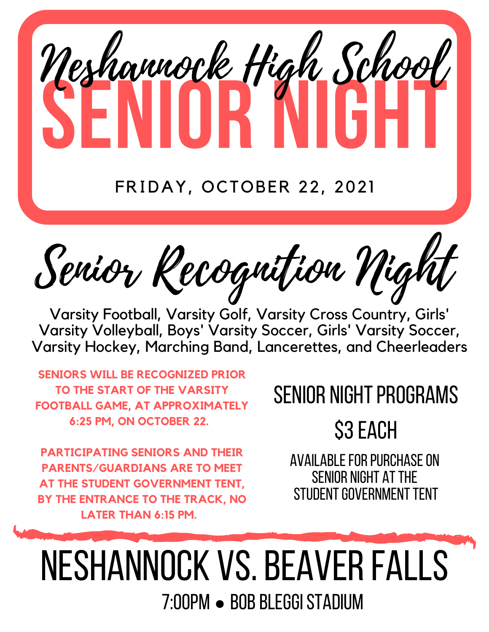# **SENIOR NIGHT** Neshannock High School

#### FRIDAY, OCTOBER 22, 2021

Senior Recognition Night

Varsity Football, Varsity Golf, Varsity Cross Country, Girls' Varsity Volleyball, Boys' Varsity Soccer, Girls' Varsity Soccer, Varsity Hockey, Marching Band, Lancerettes, and Cheerleaders

**SENIORS WILL BE RECOGNIZED PRIOR TO THE START OF THE VARSITY FOOTBALL GAME, AT APPROXIMATELY 6:25 PM, ON OCTOBER 22.**

**PARTICIPATING SENIORS AND THEIR PARENTS/GUARDIANS ARE TO MEET AT THE STUDENT GOVERNMENT TENT, BY THE ENTRANCE TO THE TRACK, NO LATER THAN 6:15 PM.**

### SENIOR NIGHT PROGRAMS

**S3 EACH** 

AVAILABLE FOR PURCHASE ON SENIOR NIGHT AT THE STUDENT GOVERNMENT TENT

7:00PM • BOB BLEGGI STADIUM Neshannock vs.BEAVERFALLS